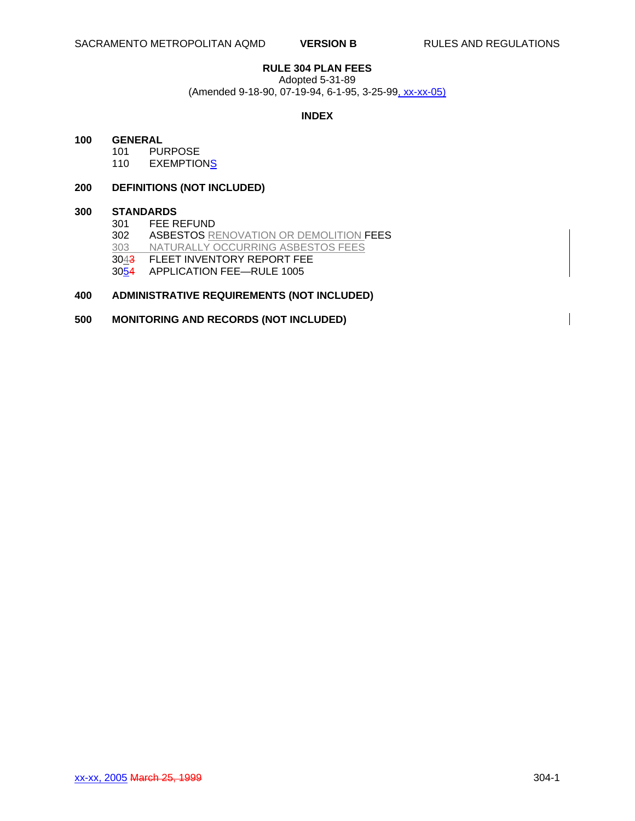# **RULE 304 PLAN FEES**

Adopted 5-31-89

(Amended 9-18-90, 07-19-94, 6-1-95, 3-25-99, xx-xx-05)

#### **INDEX**

#### **100 GENERAL**

101 PURPOSE<br>110 EXEMPTIO

**EXEMPTIONS** 

## **200 DEFINITIONS (NOT INCLUDED)**

# **300 STANDARDS**

FEE REFUND 302 ASBESTOS RENOVATION OR DEMOLITION FEES<br>303 NATURALLY OCCURRING ASBESTOS FEES NATURALLY OCCURRING ASBESTOS FEES 3043 FLEET INVENTORY REPORT FEE 3054 APPLICATION FEE—RULE 1005

# **400 ADMINISTRATIVE REQUIREMENTS (NOT INCLUDED)**

## **500 MONITORING AND RECORDS (NOT INCLUDED)**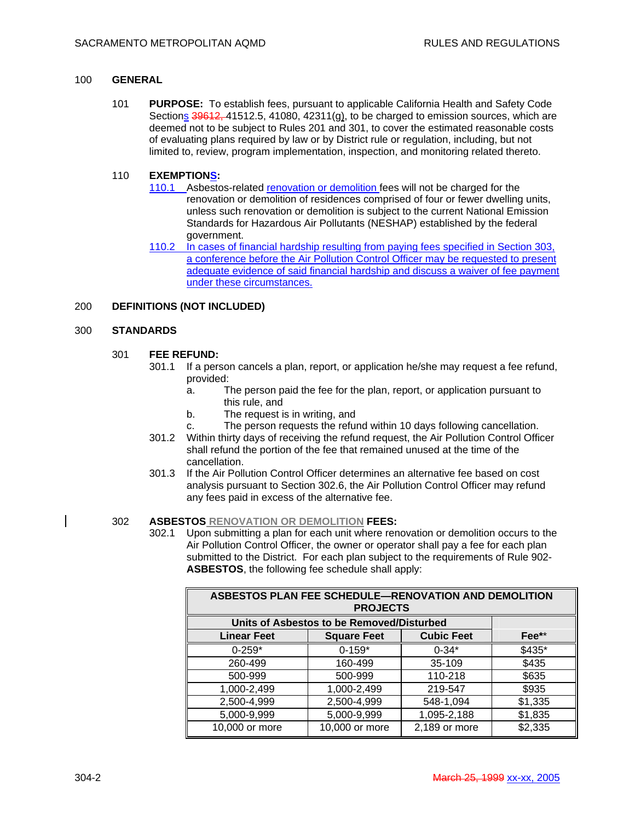#### 100 **GENERAL**

101 **PURPOSE:** To establish fees, pursuant to applicable California Health and Safety Code Sections  $39612, 41512.5, 41080, 42311(g)$ , to be charged to emission sources, which are deemed not to be subject to Rules 201 and 301, to cover the estimated reasonable costs of evaluating plans required by law or by District rule or regulation, including, but not limited to, review, program implementation, inspection, and monitoring related thereto.

#### 110 **EXEMPTIONS:**

- 110.1 Asbestos-related renovation or demolition fees will not be charged for the renovation or demolition of residences comprised of four or fewer dwelling units, unless such renovation or demolition is subject to the current National Emission Standards for Hazardous Air Pollutants (NESHAP) established by the federal government.
- 110.2 In cases of financial hardship resulting from paying fees specified in Section 303, a conference before the Air Pollution Control Officer may be requested to present adequate evidence of said financial hardship and discuss a waiver of fee payment under these circumstances.

#### 200 **DEFINITIONS (NOT INCLUDED)**

#### 300 **STANDARDS**

# 301 **FEE REFUND:**

- 301.1 If a person cancels a plan, report, or application he/she may request a fee refund, provided:
	- a. The person paid the fee for the plan, report, or application pursuant to this rule, and
	- b. The request is in writing, and
	- c. The person requests the refund within 10 days following cancellation.
- 301.2 Within thirty days of receiving the refund request, the Air Pollution Control Officer shall refund the portion of the fee that remained unused at the time of the cancellation.
- 301.3 If the Air Pollution Control Officer determines an alternative fee based on cost analysis pursuant to Section 302.6, the Air Pollution Control Officer may refund any fees paid in excess of the alternative fee.

#### 302 **ASBESTOS RENOVATION OR DEMOLITION FEES:**

302.1 Upon submitting a plan for each unit where renovation or demolition occurs to the Air Pollution Control Officer, the owner or operator shall pay a fee for each plan submitted to the District. For each plan subject to the requirements of Rule 902- **ASBESTOS**, the following fee schedule shall apply:

| ASBESTOS PLAN FEE SCHEDULE-RENOVATION AND DEMOLITION<br><b>PROJECTS</b> |                    |                   |                     |
|-------------------------------------------------------------------------|--------------------|-------------------|---------------------|
| Units of Asbestos to be Removed/Disturbed                               |                    |                   |                     |
| <b>Linear Feet</b>                                                      | <b>Square Feet</b> | <b>Cubic Feet</b> | $\mathsf{Fee^{**}}$ |
| $0 - 259*$                                                              | $0 - 159*$         | $0 - 34*$         | \$435*              |
| 260-499                                                                 | 160-499            | 35-109            | \$435               |
| 500-999                                                                 | 500-999            | 110-218           | \$635               |
| 1,000-2,499                                                             | 1,000-2,499        | 219-547           | \$935               |
| 2,500-4,999                                                             | 2,500-4,999        | 548-1,094         | \$1,335             |
| 5,000-9,999                                                             | 5,000-9,999        | 1,095-2,188       | \$1,835             |
| 10,000 or more                                                          | 10,000 or more     | 2,189 or more     | \$2,335             |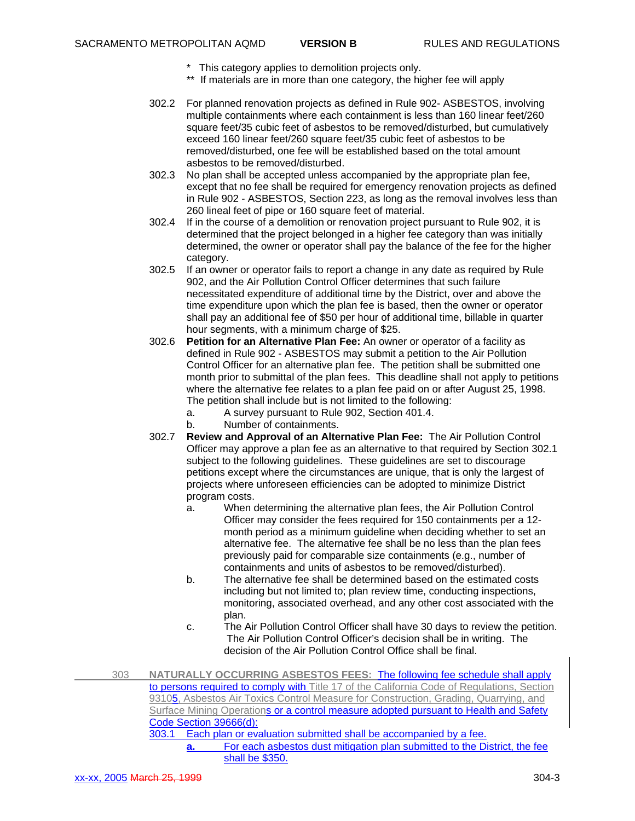- \* This category applies to demolition projects only.
- \*\* If materials are in more than one category, the higher fee will apply
- 302.2 For planned renovation projects as defined in Rule 902- ASBESTOS, involving multiple containments where each containment is less than 160 linear feet/260 square feet/35 cubic feet of asbestos to be removed/disturbed, but cumulatively exceed 160 linear feet/260 square feet/35 cubic feet of asbestos to be removed/disturbed, one fee will be established based on the total amount asbestos to be removed/disturbed.
- 302.3 No plan shall be accepted unless accompanied by the appropriate plan fee, except that no fee shall be required for emergency renovation projects as defined in Rule 902 - ASBESTOS, Section 223, as long as the removal involves less than 260 lineal feet of pipe or 160 square feet of material.
- 302.4 If in the course of a demolition or renovation project pursuant to Rule 902, it is determined that the project belonged in a higher fee category than was initially determined, the owner or operator shall pay the balance of the fee for the higher category.
- 302.5 If an owner or operator fails to report a change in any date as required by Rule 902, and the Air Pollution Control Officer determines that such failure necessitated expenditure of additional time by the District, over and above the time expenditure upon which the plan fee is based, then the owner or operator shall pay an additional fee of \$50 per hour of additional time, billable in quarter hour segments, with a minimum charge of \$25.
- 302.6 **Petition for an Alternative Plan Fee:** An owner or operator of a facility as defined in Rule 902 - ASBESTOS may submit a petition to the Air Pollution Control Officer for an alternative plan fee. The petition shall be submitted one month prior to submittal of the plan fees. This deadline shall not apply to petitions where the alternative fee relates to a plan fee paid on or after August 25, 1998. The petition shall include but is not limited to the following:
	- a. A survey pursuant to Rule 902, Section 401.4.
	- b. Number of containments.
- 302.7 **Review and Approval of an Alternative Plan Fee:** The Air Pollution Control Officer may approve a plan fee as an alternative to that required by Section 302.1 subject to the following guidelines. These guidelines are set to discourage petitions except where the circumstances are unique, that is only the largest of projects where unforeseen efficiencies can be adopted to minimize District program costs.
	- a. When determining the alternative plan fees, the Air Pollution Control Officer may consider the fees required for 150 containments per a 12 month period as a minimum guideline when deciding whether to set an alternative fee. The alternative fee shall be no less than the plan fees previously paid for comparable size containments (e.g., number of containments and units of asbestos to be removed/disturbed).
	- b. The alternative fee shall be determined based on the estimated costs including but not limited to; plan review time, conducting inspections, monitoring, associated overhead, and any other cost associated with the plan.
	- c. The Air Pollution Control Officer shall have 30 days to review the petition. The Air Pollution Control Officer's decision shall be in writing. The decision of the Air Pollution Control Office shall be final.
- 303 **NATURALLY OCCURRING ASBESTOS FEES:** The following fee schedule shall apply to persons required to comply with Title 17 of the California Code of Regulations, Section 93105, Asbestos Air Toxics Control Measure for Construction, Grading, Quarrying, and Surface Mining Operations or a control measure adopted pursuant to Health and Safety Code Section 39666(d): 303.1 Each plan or evaluation submitted shall be accompanied by a fee.
	- **a.** For each asbestos dust mitigation plan submitted to the District, the fee shall be \$350.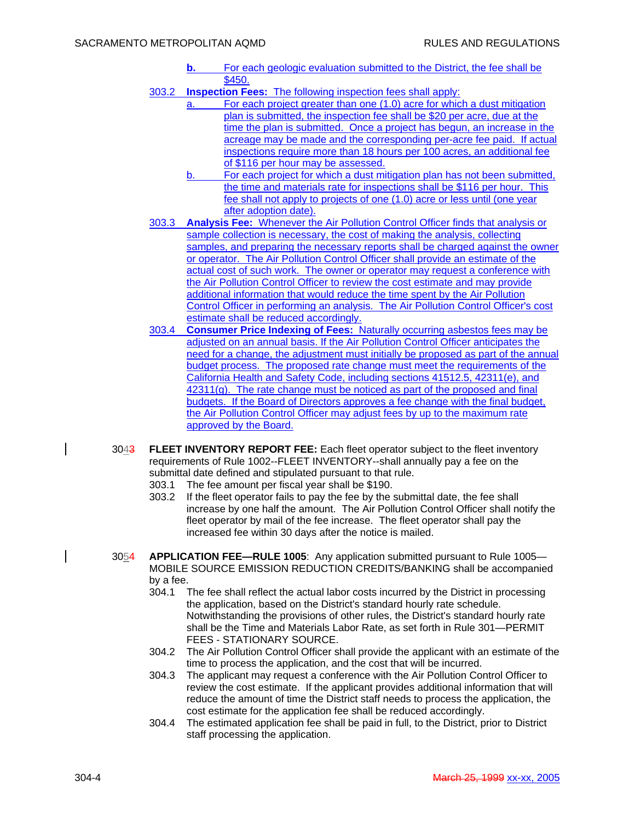- **b.** For each geologic evaluation submitted to the District, the fee shall be \$450.
- 303.2 **Inspection Fees:** The following inspection fees shall apply:
	- a. For each project greater than one (1.0) acre for which a dust mitigation plan is submitted, the inspection fee shall be \$20 per acre, due at the time the plan is submitted. Once a project has begun, an increase in the acreage may be made and the corresponding per-acre fee paid. If actual inspections require more than 18 hours per 100 acres, an additional fee of \$116 per hour may be assessed.
	- b. For each project for which a dust mitigation plan has not been submitted, the time and materials rate for inspections shall be \$116 per hour. This fee shall not apply to projects of one (1.0) acre or less until (one year after adoption date).
- 303.3 **Analysis Fee:** Whenever the Air Pollution Control Officer finds that analysis or sample collection is necessary, the cost of making the analysis, collecting samples, and preparing the necessary reports shall be charged against the owner or operator. The Air Pollution Control Officer shall provide an estimate of the actual cost of such work. The owner or operator may request a conference with the Air Pollution Control Officer to review the cost estimate and may provide additional information that would reduce the time spent by the Air Pollution Control Officer in performing an analysis. The Air Pollution Control Officer's cost estimate shall be reduced accordingly.
- 303.4 **Consumer Price Indexing of Fees:** Naturally occurring asbestos fees may be adjusted on an annual basis. If the Air Pollution Control Officer anticipates the need for a change, the adjustment must initially be proposed as part of the annual budget process. The proposed rate change must meet the requirements of the California Health and Safety Code, including sections 41512.5, 42311(e), and 42311(g). The rate change must be noticed as part of the proposed and final budgets. If the Board of Directors approves a fee change with the final budget, the Air Pollution Control Officer may adjust fees by up to the maximum rate approved by the Board.
- 3043 **FLEET INVENTORY REPORT FEE:** Each fleet operator subject to the fleet inventory requirements of Rule 1002--FLEET INVENTORY--shall annually pay a fee on the submittal date defined and stipulated pursuant to that rule.
	- 303.1 The fee amount per fiscal year shall be \$190.
	- 303.2 If the fleet operator fails to pay the fee by the submittal date, the fee shall increase by one half the amount. The Air Pollution Control Officer shall notify the fleet operator by mail of the fee increase. The fleet operator shall pay the increased fee within 30 days after the notice is mailed.
- 3054 **APPLICATION FEE—RULE 1005**: Any application submitted pursuant to Rule 1005— MOBILE SOURCE EMISSION REDUCTION CREDITS/BANKING shall be accompanied by a fee.
	- 304.1 The fee shall reflect the actual labor costs incurred by the District in processing the application, based on the District's standard hourly rate schedule. Notwithstanding the provisions of other rules, the District's standard hourly rate shall be the Time and Materials Labor Rate, as set forth in Rule 301—PERMIT FEES - STATIONARY SOURCE.
	- 304.2 The Air Pollution Control Officer shall provide the applicant with an estimate of the time to process the application, and the cost that will be incurred.
	- 304.3 The applicant may request a conference with the Air Pollution Control Officer to review the cost estimate. If the applicant provides additional information that will reduce the amount of time the District staff needs to process the application, the cost estimate for the application fee shall be reduced accordingly.
	- 304.4 The estimated application fee shall be paid in full, to the District, prior to District staff processing the application.